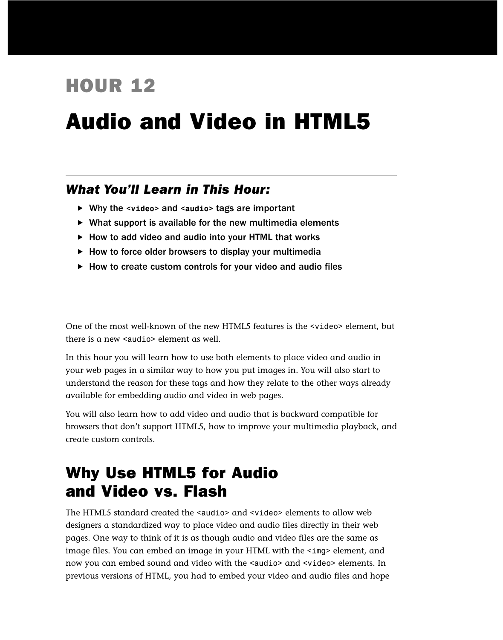# HOUR 12

# Audio and Video in HTML5

### *What You'll Learn in This Hour:*

- . Why the **<video>** and **<audio>** tags are important
- $\triangleright$  What support is available for the new multimedia elements
- $\blacktriangleright$  How to add video and audio into your HTML that works
- $\blacktriangleright$  How to force older browsers to display your multimedia
- $\triangleright$  How to create custom controls for your video and audio files

One of the most well-known of the new HTML5 features is the <video> element, but there is a new saudio > element as well.

In this hour you will learn how to use both elements to place video and audio in your web pages in a similar way to how you put images in. You will also start to understand the reason for these tags and how they relate to the other ways already available for embedding audio and video in web pages.

You will also learn how to add video and audio that is backward compatible for browsers that don't support HTML5, how to improve your multimedia playback, and create custom controls.

## Why Use HTML5 for Audio and Video vs. Flash

The HTML5 standard created the <audio> and <video> elements to allow web designers a standardized way to place video and audio files directly in their web pages. One way to think of it is as though audio and video files are the same as image files. You can embed an image in your HTML with the  $\langle \text{img} \rangle$  element, and now you can embed sound and video with the <audio> and <video> elements. In previous versions of HTML, you had to embed your video and audio files and hope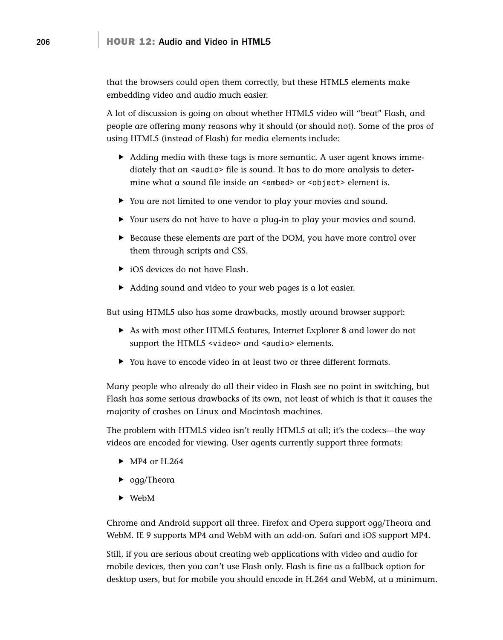that the browsers could open them correctly, but these HTML5 elements make embedding video and audio much easier.

A lot of discussion is going on about whether HTML5 video will "beat" Flash, and people are offering many reasons why it should (or should not). Some of the pros of using HTML5 (instead of Flash) for media elements include:

- $\blacktriangleright$  Adding media with these tags is more semantic. A user agent knows immediately that an <audio> file is sound. It has to do more analysis to determine what a sound file inside an <embed> or <object> element is.
- . You are not limited to one vendor to play your movies and sound.
- . Your users do not have to have a plug-in to play your movies and sound.
- . Because these elements are part of the DOM, you have more control over them through scripts and CSS.
- ▶ iOS devices do not have Flash.
- . Adding sound and video to your web pages is a lot easier.

But using HTML5 also has some drawbacks, mostly around browser support:

- . As with most other HTML5 features, Internet Explorer 8 and lower do not support the HTML5 <video> and <audio> elements.
- . You have to encode video in at least two or three different formats.

Many people who already do all their video in Flash see no point in switching, but Flash has some serious drawbacks of its own, not least of which is that it causes the majority of crashes on Linux and Macintosh machines.

The problem with HTML5 video isn't really HTML5 at all; it's the codecs—the way videos are encoded for viewing. User agents currently support three formats:

- $\blacktriangleright$  MP4 or H.264
- $\triangleright$  ogg/Theora
- $\blacktriangleright$  WebM

Chrome and Android support all three. Firefox and Opera support ogg/Theora and WebM. IE 9 supports MP4 and WebM with an add-on. Safari and iOS support MP4.

Still, if you are serious about creating web applications with video and audio for mobile devices, then you can't use Flash only. Flash is fine as a fallback option for desktop users, but for mobile you should encode in H.264 and WebM, at a minimum.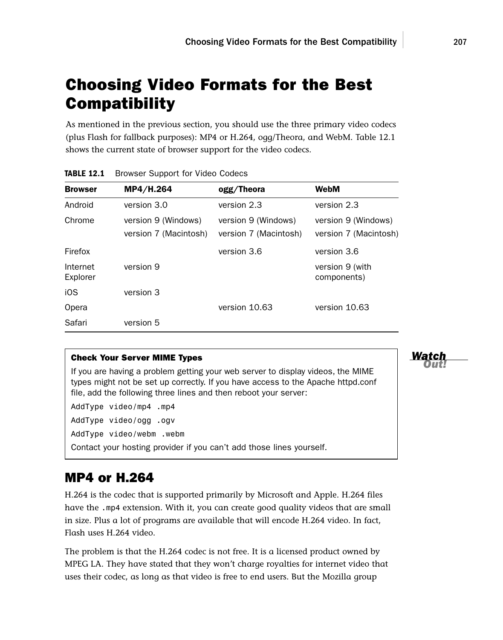## Choosing Video Formats for the Best **Compatibility**

As mentioned in the previous section, you should use the three primary video codecs (plus Flash for fallback purposes): MP4 or H.264, ogg/Theora, and WebM. Table 12.1 shows the current state of browser support for the video codecs.

| <b>Browser</b>       | MP4/H.264                                    | ogg/Theora                                   | WebM                                         |
|----------------------|----------------------------------------------|----------------------------------------------|----------------------------------------------|
| Android              | version 3.0                                  | version 2.3                                  | version 2.3                                  |
| Chrome               | version 9 (Windows)<br>version 7 (Macintosh) | version 9 (Windows)<br>version 7 (Macintosh) | version 9 (Windows)<br>version 7 (Macintosh) |
| Firefox              |                                              | version 3.6                                  | version 3.6                                  |
| Internet<br>Explorer | version 9                                    |                                              | version 9 (with<br>components)               |
| iOS                  | version 3                                    |                                              |                                              |
| Opera                |                                              | version 10.63                                | version 10.63                                |
| Safari               | version 5                                    |                                              |                                              |

#### **TABLE 12.1** Browser Support for Video Codecs

#### Check Your Server MIME Types

If you are having a problem getting your web server to display videos, the MIME types might not be set up correctly. If you have access to the Apache httpd.conf file, add the following three lines and then reboot your server:

AddType video/mp4 .mp4

AddType video/ogg .ogv

AddType video/webm .webm

Contact your hosting provider if you can't add those lines yourself.

## MP4 or H.264

H.264 is the codec that is supported primarily by Microsoft and Apple. H.264 files have the .mp4 extension. With it, you can create good quality videos that are small in size. Plus a lot of programs are available that will encode H.264 video. In fact, Flash uses H.264 video.

The problem is that the H.264 codec is not free. It is a licensed product owned by MPEG LA. They have stated that they won't charge royalties for internet video that uses their codec, as long as that video is free to end users. But the Mozilla group

*Watch Out!*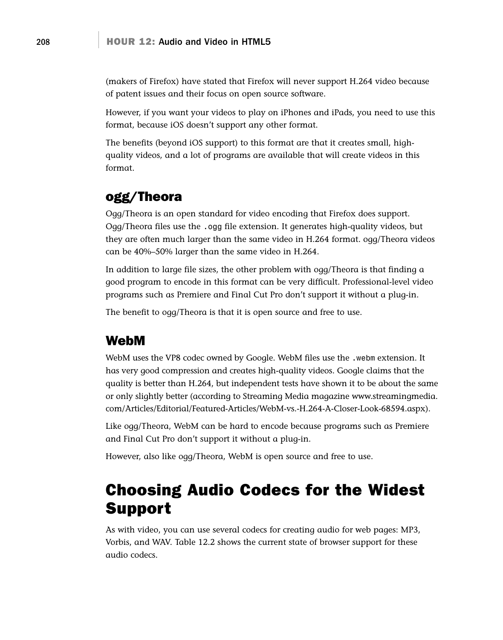(makers of Firefox) have stated that Firefox will never support H.264 video because of patent issues and their focus on open source software.

However, if you want your videos to play on iPhones and iPads, you need to use this format, because iOS doesn't support any other format.

The benefits (beyond iOS support) to this format are that it creates small, highquality videos, and a lot of programs are available that will create videos in this format.

### ogg/Theora

Ogg/Theora is an open standard for video encoding that Firefox does support. Ogg/Theora files use the .ogg file extension. It generates high-quality videos, but they are often much larger than the same video in H.264 format. ogg/Theora videos can be 40%–50% larger than the same video in H.264.

In addition to large file sizes, the other problem with ogg/Theora is that finding a good program to encode in this format can be very difficult. Professional-level video programs such as Premiere and Final Cut Pro don't support it without a plug-in.

The benefit to ogg/Theora is that it is open source and free to use.

### WebM

WebM uses the VP8 codec owned by Google. WebM files use the .webm extension. It has very good compression and creates high-quality videos. Google claims that the quality is better than H.264, but independent tests have shown it to be about the same or only slightly better (according to Streaming Media magazine [www.streamingmedia.](www.streamingmedia.com/Articles/Editorial/Featured-Articles/WebM-vs.-H.264-A-Closer-Look-68594.aspx) [com/Articles/Editorial/Featured-Articles/WebM-vs.-H.264-A-Closer-Look-68594.aspx\).](www.streamingmedia.com/Articles/Editorial/Featured-Articles/WebM-vs.-H.264-A-Closer-Look-68594.aspx)

Like ogg/Theora, WebM can be hard to encode because programs such as Premiere and Final Cut Pro don't support it without a plug-in.

However, also like ogg/Theora, WebM is open source and free to use.

## Choosing Audio Codecs for the Widest Support

As with video, you can use several codecs for creating audio for web pages: MP3, Vorbis, and WAV. Table 12.2 shows the current state of browser support for these audio codecs.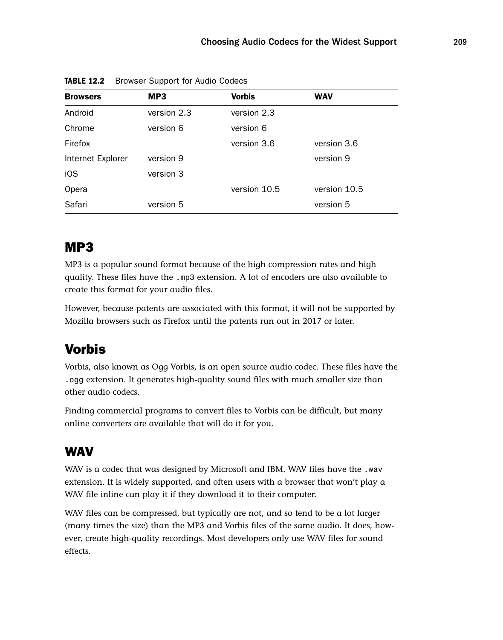| <b>Browsers</b>   | MP3         | <b>Vorbis</b> | <b>WAV</b>   |
|-------------------|-------------|---------------|--------------|
| Android           | version 2.3 | version 2.3   |              |
| Chrome            | version 6   | version 6     |              |
| Firefox           |             | version 3.6   | version 3.6  |
| Internet Explorer | version 9   |               | version 9    |
| iOS               | version 3   |               |              |
| Opera             |             | version 10.5  | version 10.5 |
| Safari            | version 5   |               | version 5    |

**TABLE 12.2** Browser Support for Audio Codecs

## MP3

MP3 is a popular sound format because of the high compression rates and high quality. These files have the .mp3 extension. A lot of encoders are also available to create this format for your audio files.

However, because patents are associated with this format, it will not be supported by Mozilla browsers such as Firefox until the patents run out in 2017 or later.

## Vorbis

Vorbis, also known as Ogg Vorbis, is an open source audio codec. These files have the .ogg extension. It generates high-quality sound files with much smaller size than other audio codecs.

Finding commercial programs to convert files to Vorbis can be difficult, but many online converters are available that will do it for you.

## **WAV**

WAV is a codec that was designed by Microsoft and IBM. WAV files have the .wav extension. It is widely supported, and often users with a browser that won't play a WAV file inline can play it if they download it to their computer.

WAV files can be compressed, but typically are not, and so tend to be a lot larger (many times the size) than the MP3 and Vorbis files of the same audio. It does, however, create high-quality recordings. Most developers only use WAV files for sound effects.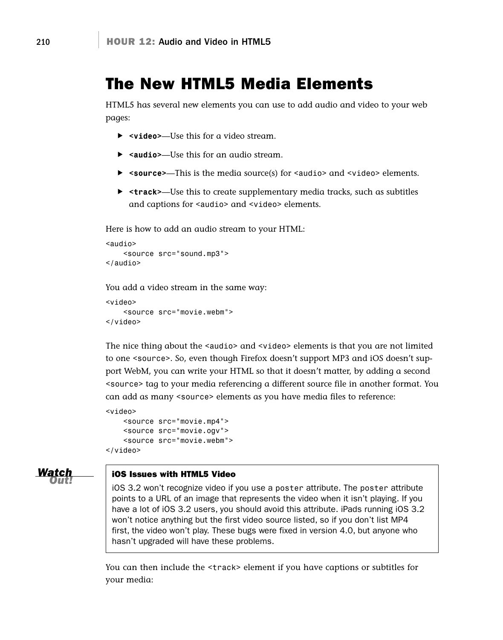## The New HTML5 Media Elements

HTML5 has several new elements you can use to add audio and video to your web pages:

- . **<video>**—Use this for a video stream.
- . **<audio>**—Use this for an audio stream.
- . **<source>**—This is the media source(s) for <audio> and <video> elements.
- . **<track>**—Use this to create supplementary media tracks, such as subtitles and captions for <audio> and <video> elements.

Here is how to add an audio stream to your HTML:

```
<audio>
    <source src="sound.mp3">
</audio>
```
You add a video stream in the same way:

```
<video>
    <source src="movie.webm">
</video>
```
The nice thing about the <audio> and <video> elements is that you are not limited to one <source>. So, even though Firefox doesn't support MP3 and iOS doesn't support WebM, you can write your HTML so that it doesn't matter, by adding a second <source> tag to your media referencing a different source file in another format. You can add as many <source> elements as you have media files to reference:

```
<video>
    <source src="movie.mp4">
    <source src="movie.ogv">
   <source src="movie.webm">
</video>
```
## *Watch Out!*

#### iOS Issues with HTML5 Video

iOS 3.2 won't recognize video if you use a poster attribute. The poster attribute points to a URL of an image that represents the video when it isn't playing. If you have a lot of iOS 3.2 users, you should avoid this attribute. iPads running iOS 3.2 won't notice anything but the first video source listed, so if you don't list MP4 first, the video won't play. These bugs were fixed in version 4.0, but anyone who hasn't upgraded will have these problems.

You can then include the <track> element if you have captions or subtitles for your media: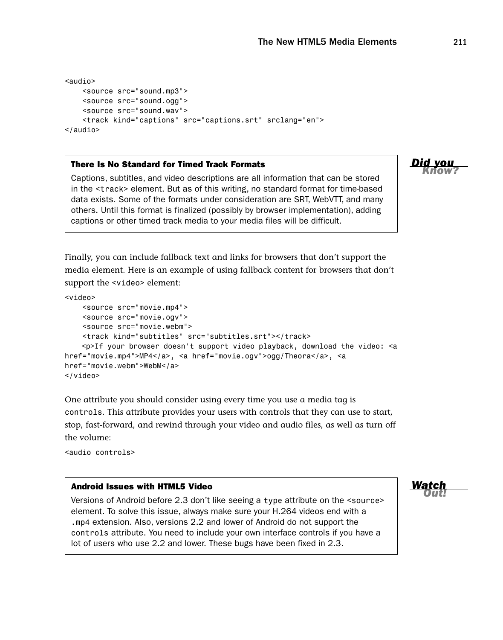```
<audio>
   <source src="sound.mp3">
   <source src="sound.ogg">
   <source src="sound.wav">
    <track kind="captions" src="captions.srt" srclang="en">
</audio>
```
#### There Is No Standard for Timed Track Formats

Captions, subtitles, and video descriptions are all information that can be stored in the <track> element. But as of this writing, no standard format for time-based data exists. Some of the formats under consideration are SRT, WebVTT, and many others. Until this format is finalized (possibly by browser implementation), adding captions or other timed track media to your media files will be difficult.

Finally, you can include fallback text and links for browsers that don't support the media element. Here is an example of using fallback content for browsers that don't support the <video> element:

```
<video>
    <source src="movie.mp4">
    <source src="movie.ogv">
    <source src="movie.webm">
    <track kind="subtitles" src="subtitles.srt"></track>
    <p>If your browser doesn't support video playback, download the video: <a
href="movie.mp4">MP4</a>, <a href="movie.ogv">ogg/Theora</a>, <a
href="movie.webm">WebM</a>
</video>
```
One attribute you should consider using every time you use a media tag is controls. This attribute provides your users with controls that they can use to start, stop, fast-forward, and rewind through your video and audio files, as well as turn off the volume:

<audio controls>

#### Android Issues with HTML5 Video

Versions of Android before 2.3 don't like seeing a type attribute on the <source> element. To solve this issue, always make sure your H.264 videos end with a .mp4 extension. Also, versions 2.2 and lower of Android do not support the controls attribute. You need to include your own interface controls if you have a lot of users who use 2.2 and lower. These bugs have been fixed in 2.3.



*Did you*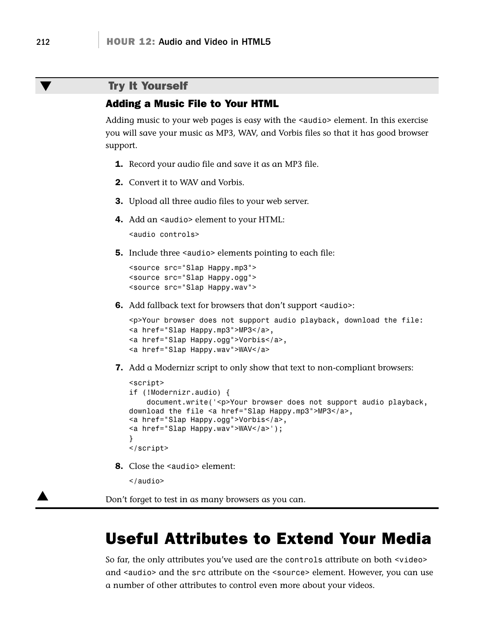#### Try It Yourself

#### Adding a Music File to Your HTML

Adding music to your web pages is easy with the <audio> element. In this exercise you will save your music as MP3, WAV, and Vorbis files so that it has good browser support.

- 1. Record your audio file and save it as an MP3 file.
- 2. Convert it to WAV and Vorbis.
- 3. Upload all three audio files to your web server.
- 4. Add an <audio> element to your HTML:

<audio controls>

5. Include three <audio> elements pointing to each file:

```
<source src="Slap Happy.mp3">
<source src="Slap Happy.ogg">
<source src="Slap Happy.wav">
```
**6.** Add fallback text for browsers that don't support <audio>:

```
<p>Your browser does not support audio playback, download the file:
<a href="Slap Happy.mp3">MP3</a>,
<a href="Slap Happy.ogg">Vorbis</a>,
<a href="Slap Happy.wav">WAV</a>
```
7. Add a Modernizr script to only show that text to non-compliant browsers:

```
<script>
if (!Modernizr.audio) {
   document.write('<p>Your browser does not support audio playback,
download the file <a href="Slap Happy.mp3">MP3</a>, 
<a href="Slap Happy.ogg">Vorbis</a>, 
<a href="Slap Happy.wav">WAV</a>');
}
</script>
```
8. Close the <audio> element:

</audio>

Don't forget to test in as many browsers as you can.

## Useful Attributes to Extend Your Media

So far, the only attributes you've used are the controls attribute on both <video> and <audio> and the src attribute on the <source> element. However, you can use a number of other attributes to control even more about your videos.

▼

▲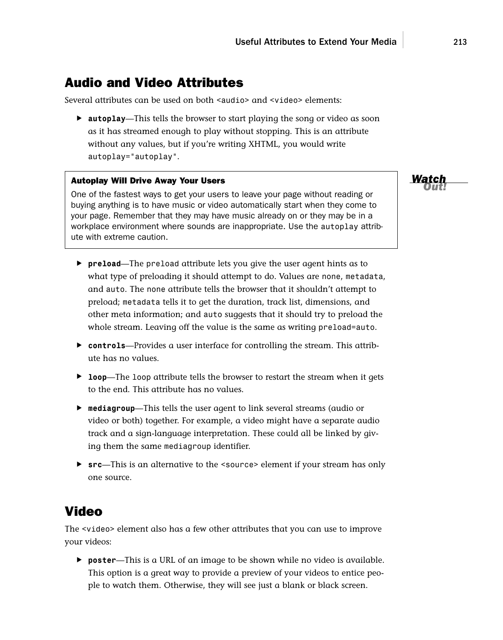## Audio and Video Attributes

Several attributes can be used on both saudios and syideos elements:

. **autoplay**—This tells the browser to start playing the song or video as soon as it has streamed enough to play without stopping. This is an attribute without any values, but if you're writing XHTML, you would write autoplay="autoplay".

#### Autoplay Will Drive Away Your Users

One of the fastest ways to get your users to leave your page without reading or buying anything is to have music or video automatically start when they come to your page. Remember that they may have music already on or they may be in a workplace environment where sounds are inappropriate. Use the autoplay attribute with extreme caution.

- . **preload**—The preload attribute lets you give the user agent hints as to what type of preloading it should attempt to do. Values are none, metadata, and auto. The none attribute tells the browser that it shouldn't attempt to preload; metadata tells it to get the duration, track list, dimensions, and other meta information; and auto suggests that it should try to preload the whole stream. Leaving off the value is the same as writing preload=auto.
- . **controls**—Provides a user interface for controlling the stream. This attribute has no values.
- . **loop**—The loop attribute tells the browser to restart the stream when it gets to the end. This attribute has no values.
- . **mediagroup**—This tells the user agent to link several streams (audio or video or both) together. For example, a video might have a separate audio track and a sign-language interpretation. These could all be linked by giving them the same mediagroup identifier.
- . **src**—This is an alternative to the <source> element if your stream has only one source.

### Video

The <video> element also has a few other attributes that you can use to improve your videos:

. **poster**—This is a URL of an image to be shown while no video is available. This option is a great way to provide a preview of your videos to entice people to watch them. Otherwise, they will see just a blank or black screen.

*Watch Out!*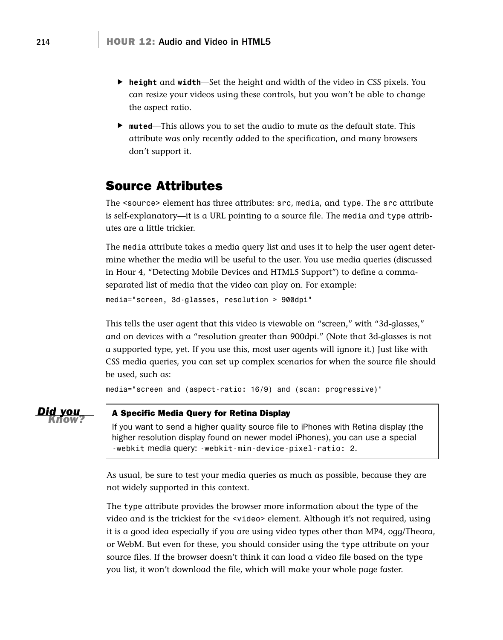- . **height** and **width**—Set the height and width of the video in CSS pixels. You can resize your videos using these controls, but you won't be able to change the aspect ratio.
- . **muted**—This allows you to set the audio to mute as the default state. This attribute was only recently added to the specification, and many browsers don't support it.

### Source Attributes

The <source> element has three attributes: src, media, and type. The src attribute is self-explanatory—it is a URL pointing to a source file. The media and type attributes are a little trickier.

The media attribute takes a media query list and uses it to help the user agent determine whether the media will be useful to the user. You use media queries (discussed in Hour 4, "Detecting Mobile Devices and HTML5 Support") to define a commaseparated list of media that the video can play on. For example:

```
media="screen, 3d-glasses, resolution > 900dpi"
```
This tells the user agent that this video is viewable on "screen," with "3d-glasses," and on devices with a "resolution greater than 900dpi." (Note that 3d-glasses is not a supported type, yet. If you use this, most user agents will ignore it.) Just like with CSS media queries, you can set up complex scenarios for when the source file should be used, such as:

```
media="screen and (aspect-ratio: 16/9) and (scan: progressive)"
```
*Did you Know?*

#### A Specific Media Query for Retina Display

If you want to send a higher quality source file to iPhones with Retina display (the higher resolution display found on newer model iPhones), you can use a special -webkit media query: -webkit-min-device-pixel-ratio: 2.

As usual, be sure to test your media queries as much as possible, because they are not widely supported in this context.

The type attribute provides the browser more information about the type of the video and is the trickiest for the <video> element. Although it's not required, using it is a good idea especially if you are using video types other than MP4, ogg/Theora, or WebM. But even for these, you should consider using the type attribute on your source files. If the browser doesn't think it can load a video file based on the type you list, it won't download the file, which will make your whole page faster.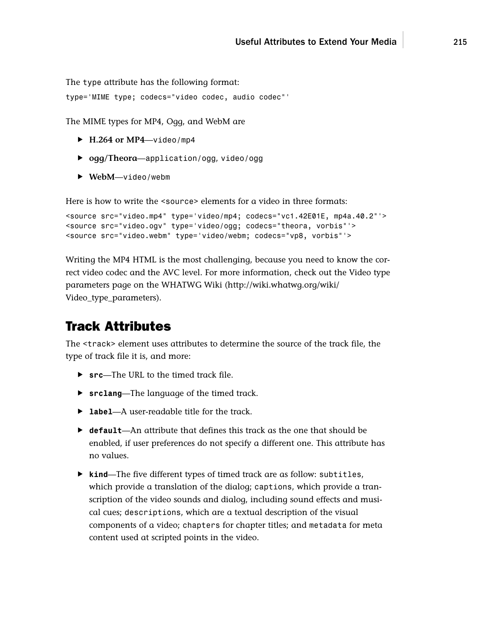The type attribute has the following format:

type='MIME type; codecs="video codec, audio codec"'

The MIME types for MP4, Ogg, and WebM are

- . **H.264 or MP4**—video/mp4
- . **ogg/Theora**—application/ogg, video/ogg
- . **WebM**—video/webm

Here is how to write the <source> elements for a video in three formats:

```
<source src="video.mp4" type='video/mp4; codecs="vc1.42E01E, mp4a.40.2"'>
<source src="video.ogv" type='video/ogg; codecs="theora, vorbis"'>
<source src="video.webm" type='video/webm; codecs="vp8, vorbis"'>
```
Writing the MP4 HTML is the most challenging, because you need to know the correct video codec and the AVC level. For more information, check out the Video type parameters page on the WHATWG Wiki [\(http://wiki.whatwg.org/wiki/](http://wiki.whatwg.org/wiki/Video_type_parameters) [Video\\_type\\_parameters\).](http://wiki.whatwg.org/wiki/Video_type_parameters)

### Track Attributes

The <track> element uses attributes to determine the source of the track file, the type of track file it is, and more:

- ▶ src—The URL to the timed track file.
- . **srclang**—The language of the timed track.
- . **label**—A user-readable title for the track.
- . **default**—An attribute that defines this track as the one that should be enabled, if user preferences do not specify a different one. This attribute has no values.
- . **kind**—The five different types of timed track are as follow: subtitles, which provide a translation of the dialog; captions, which provide a transcription of the video sounds and dialog, including sound effects and musical cues; descriptions, which are a textual description of the visual components of a video; chapters for chapter titles; and metadata for meta content used at scripted points in the video.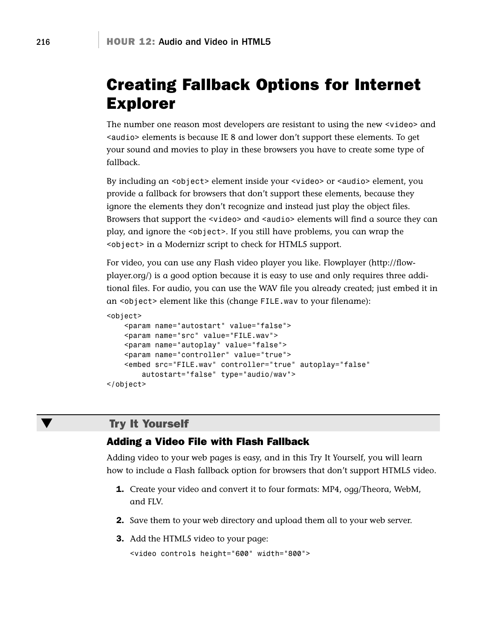## Creating Fallback Options for Internet Explorer

The number one reason most developers are resistant to using the new <video> and <audio> elements is because IE 8 and lower don't support these elements. To get your sound and movies to play in these browsers you have to create some type of fallback.

By including an <object> element inside your <video> or <audio> element, you provide a fallback for browsers that don't support these elements, because they ignore the elements they don't recognize and instead just play the object files. Browsers that support the <video> and <audio> elements will find a source they can play, and ignore the <object>. If you still have problems, you can wrap the <object> in a Modernizr script to check for HTML5 support.

For video, you can use any Flash video player you like. Flowplayer ([http://flow](http://flowplayer.org/)[player.org/\)](http://flowplayer.org/) is a good option because it is easy to use and only requires three additional files. For audio, you can use the WAV file you already created; just embed it in an <object> element like this (change FILE.wav to your filename):

```
<object>
    <param name="autostart" value="false">
    <param name="src" value="FILE.wav">
   <param name="autoplay" value="false">
    <param name="controller" value="true">
    <embed src="FILE.wav" controller="true" autoplay="false"
        autostart="false" type="audio/wav">
</object>
```
#### Try It Yourself

#### Adding a Video File with Flash Fallback

Adding video to your web pages is easy, and in this Try It Yourself, you will learn how to include a Flash fallback option for browsers that don't support HTML5 video.

- 1. Create your video and convert it to four formats: MP4, ogg/Theora, WebM, and FLV.
- 2. Save them to your web directory and upload them all to your web server.
- 3. Add the HTML5 video to your page:

```
<video controls height="600" width="800">
```
▼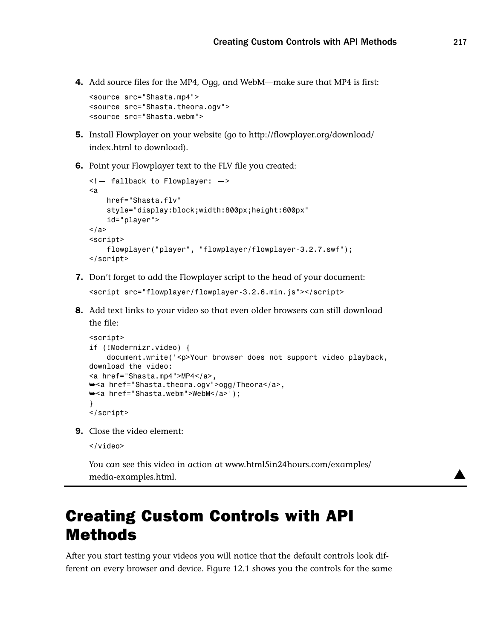4. Add source files for the MP4, Ogg, and WebM—make sure that MP4 is first:

```
<source src="Shasta.mp4">
<source src="Shasta.theora.ogv">
<source src="Shasta.webm">
```
- 5. Install Flowplayer on your website (go to [http://flowplayer.org/download/](http://flowplayer.org/download/index.html) [index.html](http://flowplayer.org/download/index.html) to download).
- 6. Point your Flowplayer text to the FLV file you created:

```
<!— fallback to Flowplayer: —>
<a
    href="Shasta.flv"
    style="display:block;width:800px;height:600px"
    id="player">
\langlea>
<script>
    flowplayer("player", "flowplayer/flowplayer-3.2.7.swf");
</script>
```
7. Don't forget to add the Flowplayer script to the head of your document:

```
<script src="flowplayer/flowplayer-3.2.6.min.js"></script>
```
8. Add text links to your video so that even older browsers can still download the file:

```
<script>
if (!Modernizr.video) {
    document.write('<p>Your browser does not support video playback,
download the video:
<a href="Shasta.mp4">MP4</a>, 
➥<a href="Shasta.theora.ogv">ogg/Theora</a>, 
➥<a href="Shasta.webm">WebM</a>');
}
</script>
```
9. Close the video element:

</video>

You can see this video in action at [www.html5in24hours.com/examples/](www.html5in24hours.com/examples/media-examples.html) [media-examples.html.](www.html5in24hours.com/examples/media-examples.html)

## Creating Custom Controls with API Methods

After you start testing your videos you will notice that the default controls look different on every browser and device. Figure 12.1 shows you the controls for the same ▲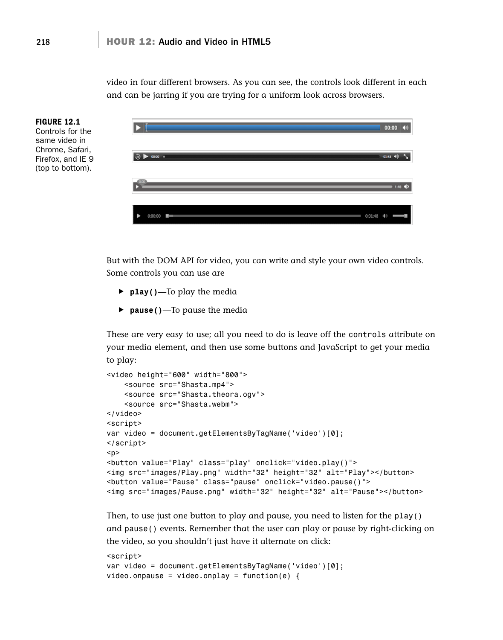video in four different browsers. As you can see, the controls look different in each and can be jarring if you are trying for a uniform look across browsers.



But with the DOM API for video, you can write and style your own video controls. Some controls you can use are

- . **play()**—To play the media
- . **pause()**—To pause the media

These are very easy to use; all you need to do is leave off the controls attribute on your media element, and then use some buttons and JavaScript to get your media to play:

```
<video height="600" width="800">
    <source src="Shasta.mp4">
    <source src="Shasta.theora.ogv">
    <source src="Shasta.webm">
</video>
<script>
var video = document.getElementsByTagName('video')[0];
</script>
<p>
<button value="Play" class="play" onclick="video.play()">
<img src="images/Play.png" width="32" height="32" alt="Play"></button>
<button value="Pause" class="pause" onclick="video.pause()">
<img src="images/Pause.png" width="32" height="32" alt="Pause"></button>
```
Then, to use just one button to play and pause, you need to listen for the play() and pause() events. Remember that the user can play or pause by right-clicking on the video, so you shouldn't just have it alternate on click:

```
<script>
var video = document.getElementsByTagName('video')[0];
video.onpause = video.onplay = function(e) {
```
#### **FIGURE 12.1** Controls for the same video in

Chrome, Safari, Firefox, and IE 9 (top to bottom).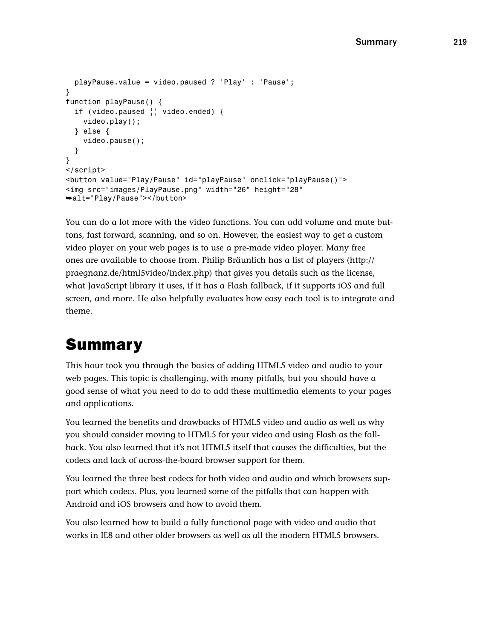```
playPause.value = video.paused ? 'Play' : 'Pause';
}
function playPause() {
  if (video.paused || video.ended) {
   video.play();
  } else {
    video.pause();
  }
}
</script>
<button value="Play/Pause" id="playPause" onclick="playPause()">
<img src="images/PlayPause.png" width="26" height="28"
➥alt="Play/Pause"></button>
```
You can do a lot more with the video functions. You can add volume and mute buttons, fast forward, scanning, and so on. However, the easiest way to get a custom video player on your web pages is to use a pre-made video player. Many free ones are available to choose from. Philip Bräunlich has a list of players ([http://](http://praegnanz.de/html5video/index.php) [praegnanz.de/html5video/index.php\)](http://praegnanz.de/html5video/index.php) that gives you details such as the license, what JavaScript library it uses, if it has a Flash fallback, if it supports iOS and full screen, and more. He also helpfully evaluates how easy each tool is to integrate and theme.

## Summary

This hour took you through the basics of adding HTML5 video and audio to your web pages. This topic is challenging, with many pitfalls, but you should have a good sense of what you need to do to add these multimedia elements to your pages and applications.

You learned the benefits and drawbacks of HTML5 video and audio as well as why you should consider moving to HTML5 for your video and using Flash as the fallback. You also learned that it's not HTML5 itself that causes the difficulties, but the codecs and lack of across-the-board browser support for them.

You learned the three best codecs for both video and audio and which browsers support which codecs. Plus, you learned some of the pitfalls that can happen with Android and iOS browsers and how to avoid them.

You also learned how to build a fully functional page with video and audio that works in IE8 and other older browsers as well as all the modern HTML5 browsers.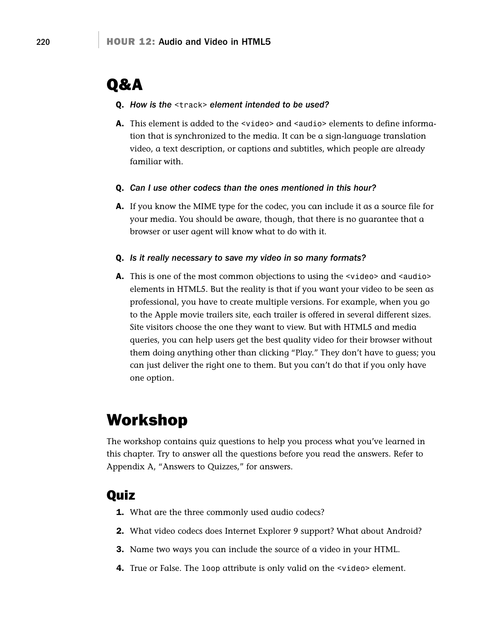## Q&A

- Q. *How is the* <track> *element intended to be used?*
- **A.** This element is added to the  $\leq$  video $\geq$  and  $\leq$  audio $\geq$  elements to define information that is synchronized to the media. It can be a sign-language translation video, a text description, or captions and subtitles, which people are already familiar with.
- Q. *Can I use other codecs than the ones mentioned in this hour?*
- A. If you know the MIME type for the codec, you can include it as a source file for your media. You should be aware, though, that there is no guarantee that a browser or user agent will know what to do with it.
- Q. *Is it really necessary to save my video in so many formats?*
- A. This is one of the most common objections to using the  $\le$ video> and  $\le$ audio> elements in HTML5. But the reality is that if you want your video to be seen as professional, you have to create multiple versions. For example, when you go to the Apple movie trailers site, each trailer is offered in several different sizes. Site visitors choose the one they want to view. But with HTML5 and media queries, you can help users get the best quality video for their browser without them doing anything other than clicking "Play." They don't have to guess; you can just deliver the right one to them. But you can't do that if you only have one option.

## Workshop

The workshop contains quiz questions to help you process what you've learned in this chapter. Try to answer all the questions before you read the answers. Refer to Appendix A, "Answers to Quizzes," for answers.

### **Quiz**

- **1.** What are the three commonly used audio codecs?
- 2. What video codecs does Internet Explorer 9 support? What about Android?
- 3. Name two ways you can include the source of a video in your HTML.
- 4. True or False. The loop attribute is only valid on the <video> element.